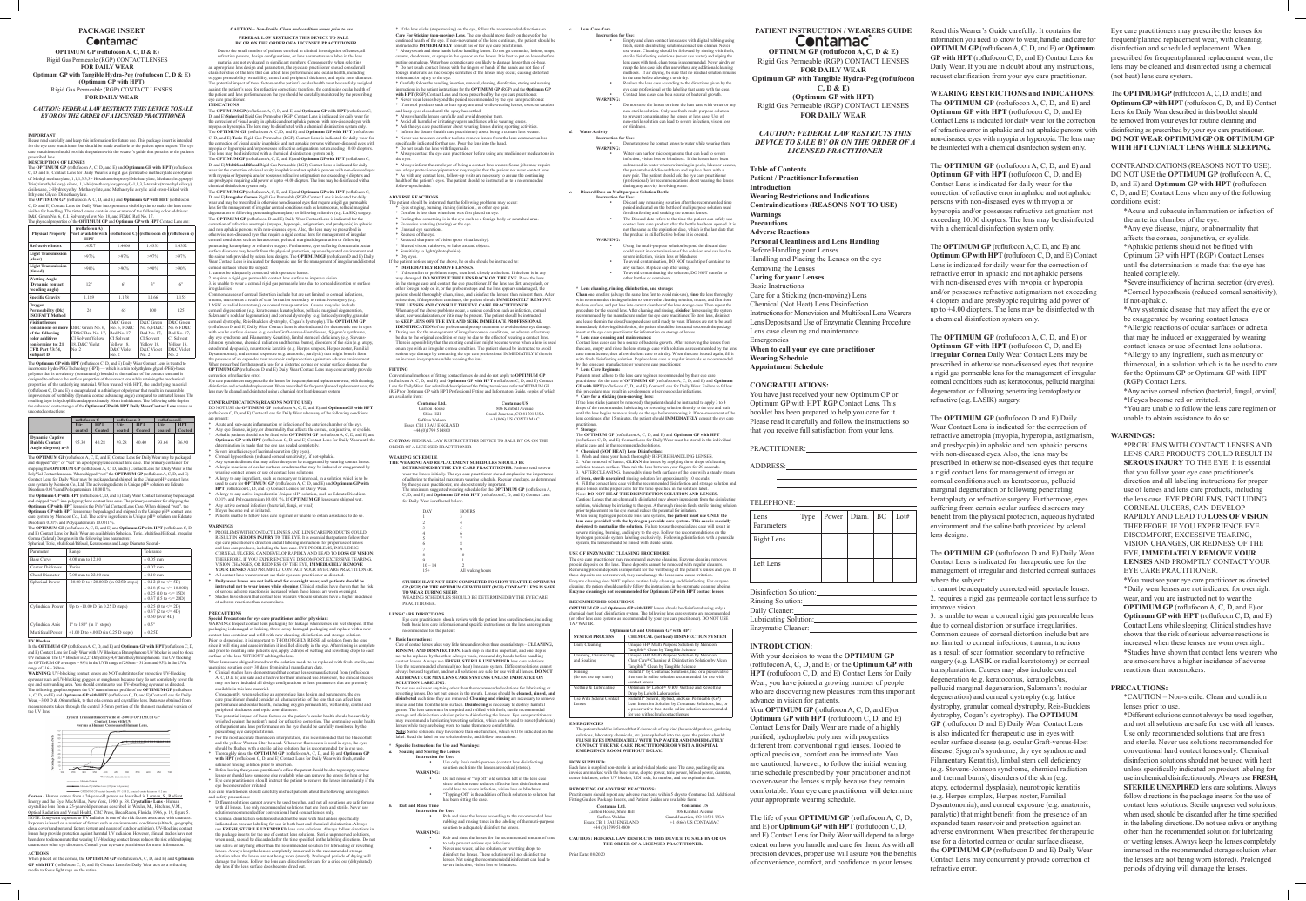#### **PACKAGE INSERT Contamac**<sup>®</sup>

**OPTIMUM GP (roflufocon A, C, D & E)**  Rigid Gas Permeable (RGP) CONTACT LENSES

**FOR DAILY WEAR Optimum GP with Tangible Hydra-Peg (roflufocon C, D & E)**

Please read carefully and keep this information for future use. This package insert is intended for the eye care practitioner, but should be made available to the patient upon request. The ey for the eye care practice in the extendion of the patient upon request. The eye care patient upon request. The eye care practitioner should provide the patient with the wearer's guide that pertains to the patients

**(Optimum GP with HPT)** Rigid Gas Permeable (RGP) CONTACT LENSES **FOR DAILY WEAR**

*CAUTION: FEDERAL LAW RESTRICTS THIS DEVICE TO SALE BY OR ON THE ORDER OF A LICENSED PRACTITIONER*

#### **IMPORTANT**

The **OPTIMUM GP** (roflufocon A, C, D, and E) and **Optimum GP with HPT** (roflufocon C, D, and E) Contact Lens for Daily Wear is a rigid gas permeable methacrylate copolyment C, D, and E) Contact Lens for Daily Wear is a rigid gas permeable methacrylate copolymer of Methyl methacrylate, 1,1,1,3,3,3 - Hexafluoroisopropyl Methacrylate, Methacryloxypropyl Tris(trimethylsiloxy) silane, 1,3-bis(methacryloxypropyl)-1,1,3,3-tetrakis(trimethyl siloxy) disiloxane, 2-Hydroxyethyl Methacrylate, and Methacrylic acrylic acid cross-linked with Ethylene Glycol Dimethacrylate.

### prescribed lens. **DESCRIPTION OF LENSES**

The **OPTIMUM GP** (roflufocon A, C, D, and E) Contact Lens for Daily Wear may be packaged and shipped "dry" or "wet" in a polypropylene contact lens case. The primary container for shipping the **OPTIMUM GP** (roflufocon A, C, D, and E) Contact Lens for Daily Wear is the PolyVial Contact lens case. When shipped "wet" the **OPTIMUM GP** (roflufocon A, C, D, and E) Contact Lens for Daily Wear may be packaged and shipped in the Unique pH® c care system by Menicon Co., Ltd. The active ingredients in Unique pH® solution are Edetate Disodium 0.01% and Polyquaternium 10.0011%

The **OPTIMUM GP** (roflufocon A, C, D, and E) and **Optimum GP with HPT** (roflufocon C, D, and E) Contact Lens for Daily Wear incorporates a visibility tint to make the lens more visible for handling. The tinted lenses contain one or more of the following color additives: D&C Green No. 6, C.I. Solvent yellow No. 18, and FD&C Red No. 17. The physical properties of the **OPTIMUM GP** and **Optimum GP with HPT** Contact Lens are:

The **Optimum GP with HPT** (roflufocon C, D, and E) Daily Wear Contact Lens may be packaged and shipped "wet" in a polypropylene contact lens case. The primary container for shipping the **Optimum GP with HPT** lenses is the PolyVial Contact Lens Case. When shipped "wet", the **Optimum GP with HPT** lenses may be packaged and shipped in the Unique  $H^{\circledR}$  contact lens care system by Menicon Co., Ltd. The active ingredients in Unique pH® solution are Edetate  $\dim 0.01\%$  and Polyquaternium  $10.0011\%$ .

designed to enhance the surface properties of the contact lens while retaining the mechanical properties of the underlying material. When treated with HPT, the underlying material (roflufocon C, D, and E) is encapsulated in a thin layer of polymer that results in measurable improvement of wettability (dynamic contact advancing angle) compared to untreated lenses. The resulting layer is hydrophilic and approximately 30nm in thickness. The following table depicts the enhanced contact angle of the **Optimum GP with HPT Daily Wear Contact Lens** versus an

uncoated contact lens:

In the **OPTIMUM GP** (roflufocon A, C, D, and E) and **Optimum GP** with HPT (roflufocon C, D and E) Contact Lens for Daily Wear with UV Blocker, a Benzophenone UV blocker is used to block UV radiation. The UV Blocker is 2,2'-Dihydroxy-4,4'dimethoxybenzophenone. The UV blocking for OPTIMUM GP averages > 98% in the UVB range of 280nm – 315nm and 95% in the UVA range of 316 – 380nn

|                                                                          | roflufocon C |            | roflufocon D |            | roflufocon E    |            |
|--------------------------------------------------------------------------|--------------|------------|--------------|------------|-----------------|------------|
|                                                                          | $Un-$        | <b>HPT</b> | $Un-$        | <b>HPT</b> | $\mathbf{U}$ n- | <b>HPT</b> |
|                                                                          | coated       | Coated     | coated       | Coated     | coated          | Coated     |
| <b>Dynamic Captive</b><br><b>Bubble Contact</b><br>Angle (degrees) $n=3$ | 95.30        | 40.28      | 93.28        | 40 40      | 93.64           | 36.90      |

**Cornea** - Human cornea from a 24-year-old person as described in Lerman, S., Radiant Energy and the Eye, MacMillan, New York, 1980, p. 58. Crystalline Lens - Human crystalline lens from a 25-year-old person as described in Waxler, M., Hitchins, V.M., Optical Radiation and Visual Health, CRC Press, Boca Raton, Florida, 1986, p. 19, figure 5. NOTE: Long-term exposure to UV radiation is one of the risk factors associated with cataracts. Exposure is based on a number of factors such as environmental conditions (altitude, geography, cover) and personal factors (extent and nature of outdoor activities). UV-blocking contactivities lenses help provide protection against harmful UV radiation. However, clinical studies have not between that wearing UV-blocking contact lenses reduces the risk of developing cataracts or other eye disorders. Consult your eye-care practitioner for more information

The **OPTIMUM GP** (roflufocon A, C, D, and E) and **Optimum GP with HPT** (roflufocon C, D, and E) Contact Lens for Daily Wear are available in Spherical, Toric, Multifocal/Bifocal, Irregular Cornea (Scleral) Designs with the following lens parameters:

correction of visual acuity in aphakic and not aphakic persons with non-diseased eyes with myopia or hyperopia and/or possesses refractive astigmatism not exceeding 10.00 diopters. The lens may be disinfected with a chemical disinfection system only. The **OPTIMUM GP** (roflufocon A, C, D, and E) and **Optimum GP with HPT** (roflufocon C, D, and E) **Multifocal/Bifocal** Rigid Gas Permeable (RGP) Contact Lens is indicated for daily

| Parameter                | Range                                               | Tolerance                                                                                                                                |
|--------------------------|-----------------------------------------------------|------------------------------------------------------------------------------------------------------------------------------------------|
| <b>Base Curve</b>        | 4.00 mm to 12.00                                    | $\pm 0.05$ mm                                                                                                                            |
| Center Thickness         | Varies                                              | $\pm 0.02$ mm                                                                                                                            |
| Chord Diameter           | 7.00 mm to 22.00 mm                                 | $\pm 0.10$ mm                                                                                                                            |
| Spherical Power          | $-20.00$ D to $+20.00$ D (in 0.25D steps)           | $\pm$ 0.12 (0 to $\le$ /= 5D)<br>$\pm$ 0.18 (5 to $\leq$ = 10.00D)<br>$\pm$ 0.25 (10 to $\le$ /= 15D)<br>$\pm$ 0.37 (15 to $\le$ /= 20D) |
| <b>Cylindrical Power</b> | Up to $-10.00$ D (in 0.25 D steps)                  | $\pm$ 0.25 (0 to $\le$ /= 2D)<br>$\pm$ 0.37 (2 to $\leq$ = 4D)<br>$\pm$ 0.50 (over 4D)                                                   |
| Cylindrical Axis         | $1^{\circ}$ to $180^{\circ}$ (in $1^{\circ}$ steps) | $\pm 0.5^{\circ}$                                                                                                                        |
| Multifocal Power         | $+1.00$ D to 4.00 D (in 0.25 D steps)               | $\pm$ 0.25D                                                                                                                              |

#### **UV Blocker**

Common causes of corneal distortion include but are not limited to corneal infections, trauma, tractions as a result of scar formation secondary to refractive surgery (e.g. LASIK or radial keratotomy) or corneal transplantation. Causes may also include corneal degeneration (e.g. keratoconus, keratoglobus, pellucid marginal degeneration, Salzmann's nodular degeneration) and corneal dystrophy (e.g. lattice dystrophy, granu corneal dystrophy, Reis-Bucklers dystrophy, Cogan's dystrophy). The **OPTIMUM GP** (roflufocon D and E) Daily Wear Contact Lens is also indicated for therapeutic use in eyes with ocular surface disease (e.g. ocular Graft-versus-Host disease, Sjogren's syndrome, dry eye syndrome and Filamentary Keratitis), limbal stem cell deficiency (e.g. Stevens-Johnson syndrome, chemical radiation and thermal burns), disorders of the skin (e.g. atopy, ectodermal dysplasia), neurotropic keratitis (e.g. Herpes simplex, Herpes zoster, Familial utonomia), and corneal exposure (e.g. anatomic, paralytic) that might benefit from the presence of an expanded tear reservoir and protection against an adverse environment bed for therapeutic use for a distorted cornea or ocular surface disease, the **OPTIMUM GP** (roflufocon D and E) Daily Wear Contact Lens may concurrently provide

**WARNING:** UV-blocking contact lenses are NOT substitutes for protective UV-blocking eyewear such as UV-blocking goggles or sunglasses because they do not completely cover the eye and surrounding area. You should continue to use UV-absorbing eyewear as directed. The following graph compares the UV transmittance profile of the **OPTIMUM GP** (roflufocon **um GP with HPT** (roflufocon C, D, and E) Contact Lens for Da Wear,  $-3.00$  D & .06mm thick, to that of a cornea and crystalline lens. Data was obtained from ts taken through the central 3-5mm portion of the thinnest marketed version of the UV lens.





DO NOT USE the **OPTIMUM GP** (roflufocon A, C, D, and E) and **Optimum GP with HPT**  (roflufocon C, D, and E) Contact Lens for Daily Wear when any of the following  $c$ 

- are present: \* Acute and sub-acute inflammation or infection of the anterior chamber of the eye. \* Any eye disease, injury, or abnormality that affects the cornea, conjunctiva, or eyelids. \* Aphakic patients should not be fitted with **OPTIMUM GP** (roflufocon A, C, D, and E) and
- **Optimum GP with HPT** (roflufocon C, D, and E) Contact Lens for Daily Wear until the determination is made that the eye has healed completely. Severe insufficiency of lacrimal secretion (dry eyes).
- 
- \* Corneal hypoesthesia (reduced corneal sensitivity), if not-aphakic. \* Any systemic disease that may affect the eye or be exaggerated by wearing contact lenses. Allergic reactions of ocular surfaces or adnexa that may be induced or exaggerated by earing contact lenses or use of contact lens solutions.
- Allergy to any ingredient, such as mercury or thimerosal, in a solution which is to b used to care for **OPTIMUM GP** (roflufocon A, C, D, and E) and **Optimum GP with HPT** (roflufocon C, D, and E) Contact Lenses for Daily Wear.
- Allergy to any active ingredient in Unique pH® solution, such as Edetate Disodium
- 0.01% and Polyquaternium 10.0011%. If **OPTIMUM GP** lenses are shipped wet. Any active corneal infection (bacterial, fungi, or viral)
- If eyes become red or irritated. Patients unable to follow lens care regimen or unable to obtain assistance to do so.

**ACTIONS** When placed on the cornea, the **OPTIMUM GP** (roflufocon A, C, D, and E) and **Ontimum GP with HPT** (roflufocon C, D, and E) Contact Lens for Daily Wear acts as a refracting media to focus light rays on the retina.

#### **CAUTION** *– Non-Sterile. Clean and condition lenses prior to use*. **FEDERAL LAW RESTRICTS THIS DEVICE TO SALE BY OR ON THE ORDER OF A LICENSED PRACTITIONER.**

Due to the small number of patients enrolled in clinical investigation of lenses, all refractive powers, design configurations, or lens parameters available in the lens material are not evaluated in significant numbers. Consequently, when selecting an appropriate lens design and parameters, the eye care practitioner should consider all characteristics of the lens that can affect lens performance and ocular health, including oxygen permeability, wettability, central and peripheral thickness, and optic zone diameter. The potential impact of these factors on the patient's ocular health must be carefully weighed against the patient's need for refractive correction; therefore, the continuing ocular health of e patient and lens performance on the eye should be carefully monitored by the prescribing ve care practitioner. **INDICATIONS**

The **OPTIMUM GP** (roflufocon A, C, D, and E) and **Optimum GP with HPT** (roflufocon C, D, and E) **Spherical** Rigid Gas Permeable (RGP) Contact Lens is indicated for daily wear for the correction of visual acuity in aphakic and not aphakic persons with non-diseased eyes with myopia or hyperopia. The lens may be disinfected with a chemical disinfection system on The **OPTIMUM GP** (roflufocon A, C, D, and E) and **Optimum GP with HPT** (roflufocon C, D, and E) **Toric** Rigid Gas Permeable (RGP) Contact Lens is indicated for daily wear for

Different solutions cannot always be used together, and not all solutions are safe for use with all lenses. Use only recommended solutions that are fresh and sterile. Never use solutions recommended for conventional hard contact lenses only. Chemical disinfection solutions should not be used with heat unless specifically indicated on product labeling for use in both heat and chemical disinfection. Always use **FRESH, STERILE UNEXPIRED** lens care solutions. Always follow directions in

wear for the correction of visual acuity in aphakic and not aphakic persons with non-diseased eyes with myopia or hyperopia and/or possesses refractive astigmatism not exceeding 4 diopters and are presbyopic requiring add power of up to +4.00 diopters. The lens may be disinfected with a chemical disinfection system only. The **OPTIMUM GP** (roflufocon A, C, D, and E) and **Optimum GP with HPT** (roflufocon C,

f the lens stice<br> **1.** For Sticki<br>
1. Code is number that<br>
1. Code in the steep in the steep in the steep in the steep in the steep in the steep in the steep in the steep in the steep in the steep in the steep in the steep \* If the lens sticks (stops moving) on the eye, follow the recommended directions on **Care For Sticking (non-moving) Lens**. The lens should move freely on the eye for the outlinued health of the eye. If non-movement of the lens continued health in the instructed to **IMMEDIATELY** consult his or her eye care \* Always wash and rinse hands before handling lenses. Do not get cosmetics, lotions, soaps, creams, deodorants, or sprays in the eyes or on the lenses. It is best to put on lenses before putting on makeup. Water-base cosmetics are less likely to damage lenses than oil-base. \* Do not touch contact lenses with the fingers or hands if the hands are not free of foreign materials, as microscope scratches of the lenses may occur, causing distorted

D, and E) **Irregular Cornea** Rigid Gas Permeable (RGP) Contact Lens is indicated for daily r and may be prescribed in otherwise non-diseased eyes that require a rigid gas permeable lens for the management of irregular corneal conditions such as keratoconus, pellucid marginal degeneration or following penetrating keratoplasty or following refractive (e.g. LASIK) surgery. The **OPTIMUM GP** (roflufocon D and E) Daily Wear Contact Lens is indicated for the correction of refractive ametropia (myopia, hyperopia, astigmatism, and presbyopia) in aphakic and non aphakic persons with non-diseased eyes. Also, the lens may be prescribed in otherwise non-diseased eyes that require a rigid contact lens for management of irregular corneal conditions such as keratoconus, pellucid marginal degeneration or following penetrating keratoplasty or refractive surgery. Furthermore, eyes suffering from certain ocular surface disorders may benefit from the physical protection, aqueous hydrated environment and the saline bath provided by scleral lens designs. The **OPTIMUM GP** (roflufocon D and E) Daily Wear Contact Lens is indicated for therapeutic use for the management of irregular and distorted corneal surfaces where the subject: 1. cannot be adequately corrected with spectacle lenses.

2. requires a rigid gas permeable contact lens surface to improve visio

- e patient should be informed that the following problems may occur:
- \* Eyes stinging, burning, itching (irritation), or other eye pain.
- \* Comfort is less than when lens was first placed on eye. \* Feeling that something is in the eye such as a foreign body or scratched area. \* Excessive watering (tearing) or the eye.
- \* Unusual eye sec
- \* Redness of the eye.
- \* Reduced sharpness of vision (poor visual acuity). \* Blurred vision, rainbows, or halos around objects.
- \* Sensitivity to light (photophobia).
- \* Dry eyes. If the patient notices any of the above, he or she should be instructed to:
- 

\* **IMMEDIATELY REMOVE LENSES**. \* If discomfort or problems stops, then look closely at the lens. If the lens is in any way damaged, **DO NOT PUT THE LENS BACK ON THE EYE.** Place the lens e storage case and contact the eye practitioner. If the lens has dirt, an eye other foreign body on it, or the problem stops and the lens appears undamaged, the patient should thoroughly clean, rinse, and disinfect the lenses: then reinsert them. After reinsertion, if the problem continues, the patient should **IMMEDIATELY REMOVE THE LENSES AND CONSULT THE EYE CARE PRACTITIONER.** When any of the above problems occur, a serious condition such as infection, corneal ularization, or iritis may be present. The patient should be instructed to **KEEP LENS OFF THE EYE AND SEEK IMMEDIATE PROFESSIONAL IDENTIFICATION** of the problem and prompt treatment to avoid serious eye damage.

3. is unable to wear a corneal rigid gas permeable lens due to corneal distortion or surface irregularities.

correction of refractive error. Eye care practitioners may prescribe the lenses for frequent/planned replacement wear, with cleaning, disinfection and scheduled replacement. When prescribed for frequent/planned replacement wear, the

lens may be cleaned and disinfected using a chemical (not heat) lens care system.

#### **CONTRAINDICATIONS (REASONS NOT TO USE)**

**WARNING:** Do not reuse or "top off" old solution left in the lens case since solution reuse reduces effective lens disinfection and could lead to severe infection, vision loss or blindness. Topping-Off" is the addition of fresh solution to solution that

> Rub and rinse the lenses according to the recommended lens rubbing and rinsing times in the labeling of the multi-purpose

to prevent contaminating the lenses or lens case. Use of -sterile solution can lead to severe infection, vision loss

Do not expose the contact lenses to water while wearing them. Water can harbor microorganisms that can lead to severe

- **WARNINGS** \* PROBLEMS WITH CONTACT LENSES AND LENS CARE PRODUCTS COULD RESULT IN **SEROUS INJURY** TO THE EYE. It is essential that patients follow their eye care practitioner's direction and all labeling instructions for proper use of lenses and lens care products, including the lens case. EYE PROBLEMS, INCLUDING CORNEAL ULCERS, CAN DEVELOP RAPIDLY AND LEAD TO **LOSS OF VISION**; THEREFORE, IF YOU EXPERIENCE EYE DISCOMFORT, EXCESSIVE TEARING, VISION CHANGES, OR REDNESS OF THE EYE, **IMMEDIATELY REMOVE YOUR LENSES** AND PROMPTLY CONTACT YOUR EYE CARE PRACTITIONER. All contact lens wearers must see their eye care practitioner as directed.
- \* **Daily wear lenses are not indicated for overnight wear, and patients should be instructed not to wear lenses while sleeping**. Clinical studies have shown that the risk of serious adverse reactions is increased when these lenses are worn overnight. \* Studies have shown that contact lens wearers who are smokers have a higher incidence

Discard any remaining solution after the recommended tin period indicated on the bottle of multipurpose solution used for disinfecting and soaking the contact lenses. • The Discard date refers to the time the patient can safely use contact lens care product after the bottle has been opened. It is not the same as the expiration date, which is the last date that

the product is still effective before it is opened. Using the multi-purpose solution beyond the discard date could result in contamination of the solution and can lead to vere infection, vision loss or blindness

To avoid contamination, DO NOT touch tip of container to any surface. Replace cap after using. • To avoid contaminating the solution, DO NOT transfer to

of adverse reactions than nonsmokers.

#### **PRECAUTIONS**

Contact lens cases can be a source of bacteria growth. After removing the lenses from the case, empty and rinse the lens storage case with solution as recommended by the lens case manufacture; then allow the lens case to air dry. When the case is used again, fill it with fresh disinfecting solution. Replace lens case at regular intervals as rec

**Special Precautions for eye care practitioner and/or physician:** WARNING: Inspect contact lens packaging for leakage when lenses are wet shipped. If the packaging is damaged or leaking, throw away damaged packaging and replace with a new<br>contact lens container and refill with new cleaning, disinfection and storage solution.<br>Prior to dispensing, it is important to THOROUGHL since it will sting and cause irritation if instilled directly in the eye. After rinsing is complete and prior to inserting into patients eye, apply 2 drops of wetting and rewetting drops to each surface of the lens WITHOUT rubbing the lens.

When lenses are shipped/stored wet the solution needs to be replaced with fresh, sterile, and nexpired solution every 30 days from initial manufacture date. \* Clinical studies have demonstrated that contact lenses manufactured from (roflufocon A, C, D & E) are safe and effective for their intended use. However, the clinical studies

1. Wash and rinse your hands thoroughly BEFORE HANDLING LENSES. 2. After removal of lenses, **CLEAN** the lenses by applying three drops of cleaning solution to each surface. Then rub the lens between your fingers for 20 seconds. 3. AFTER CLEANING, thoroughly rinse both surfaces of the lens with a steady stream of **fresh, sterile unexpired** rinsing solution for approximately 10 seconds. 4. Fill the contact lens case with the recommended disinfection and storage solution and place lenses in the proper cells for the time specified in the solution label. Note: **DO NOT HEAT THE DISINFECTION SOLUTION AND LENSES.** Caution: Lenses that are chemically disinfected may absorb ingredient solution, which may be irritating to the eyes. A thorough rinse in fresh, prior to placement on the eye should reduce the potential for irritation. When using hydrogen peroxide lens care systems, **the patient must use ONLY the**  lens case provided with the hydrogen peroxide care system. This designed to neutralize the solution. Failure to use the specialize

- may not have included all design configurations or lens parameters that are presently available in this lens material. Consequently, when selecting an appropriate lens design and parameters, the ey
- care practitioner should consider all characteristics of the lens that can affect lens performance and ocular health, including oxygen permeability, wettability, central and peripheral thickness, and optic zone diameter.
- The potential impact of these factors on the patient's ocular health should be carefully weighed against the patient's need for refractive correction. The continuing ocular health of the patient and lens performance on the eye should be carefully monitored by the
- prescribing eye care practitioner. \* For the most accurate fluorescein interpretation, it is recommended that the blue cobalt and the yellow Wratten filter be used. Whenever fluorescein is used in eyes, the eyes
- should be flushed with a sterile saline solution that is recommended for in eye use. \* Thoroughly rinse the **OPTIMUM GP** (roflufocon A, C, D, and E) and **Optimum GP with HPT** (roflufocon C, D, and E) Contact Lens for Daily Wear with fresh, sterile saline or rinsing solution prior to insertion.
- \* Before leaving the eye care practitioner's office, the patient should be able to promptly remove lenses or should have someone else available who can remove the lenses for him or her \* Eye care practitioners should instruct the patient to remove the lenses immediately if the eye becomes red or irritated.
- Eye care practitioners should carefully instruct patients about the following care regimen and safety precautions:

**OPTIMUM GP** and **Optimum GP with HPT** lenses should be disinfected using only a chemical (not heat) disinfection system. The following lens care systems are re other lens care systems as recommended by your eye care practitioner). DO NOT USE

The patient should be informed that if chemicals of any kind (household products, gardening tions, laboratory chemicals, etc.) are splashed into the eyes, the patient should

Each lens is supplied non-sterile in an individual plastic case. The case, packing slip and invoice are marked with the base curve, dioptic power, toric power, bifocal power, diameter,

practions should report any adverse reactions within 5 days to Contamac Ltd. Additional Fitting Guides, Package Inserts, and Patient Guides are available from: **Contamac US** 806 Kimball Avenue Grand Junction, CO 81501 USA +1 (866) US CONTAMAC

**CAUTION: FEDERAL LAW RESTRICTS THIS DEVICE TO SALE BY OR ON**  THE ORDER OF A LICENSED PRACTITIONE

## **PATIENT INSTRUCTION / WEARERS GUIDE Contamac**

the package inserts for the use of contact lens solutions. Sterile unpreserved solutions, when used, should be discarded after the time specified in the labeling directions. Do not use saliva or anything other than the recommended solution for lubricating or rewetting enses. Always keep the lenses completely immersed in the recommended storage solution when the lenses are not being worn (stored). Prolonged periods of drying will damage the lenses. Follow the lens care directions for care for a dried out (dehydrated) dry lens if the lens surface does become dried out.

# **Emergencies Wearing Schedule Appointment Schedule CONGRATULATIONS:**

Disinfection Solution: Rinsing Solution: Daily Cleaner: Lubricating Solution: Enzymatic Cleaner:

- vision and/or injury to the eye. \* Carefully follow the handling, insertion, removal, cleaning, disinfection, storing and wearing instructions in the patient instructions for the **OPTIMUM GP** (RGP) and the **Optimum GP with HPT** (RGP) Contact Lens and those prescribed by the eye care practitioner. Never wear lenses beyond the period recommended by the eye care practitioner.
- \* If aerosol products such as hair spray are used while wearing lenses, exercise caution and keep eyes closed until the spray has settled.
- \* Always handle lenses carefully and avoid dropping them.
- \* Avoid all harmful or irritating vapors and fumes while wearing lense \* Ask the eye care practitioner about wearing lenses during sporting activities.
- \* Inform the doctor (health care practitioner) about being a contact lens wearer. \* Never use tweezers or other tools to remove lenses from the lens container unless
- specifically indicated for that use. Pour the lens into the hand. Do not touch the lens with fingernails.
- \* Always contact the eye care practitioner before using any medicine or medications in
- the eyes. \* Always inform the employer of being a contact lens wearer. Some jobs may require
- use of eye protection equipment or may require that the patient not wear contact lens. \* As with any contact lens, follow-up visits are necessary to assure the continuing health of the patient's eyes. The patient should be instructed as to a recommended follow-up schedule.

The **OPTIMUM GP** (roflufocon D and E) Daily Wear Contact Lens is indicated for the correction of refractive ametropia (myopia, hyperopia, astigmatism, and presbyopia) in aphakic and non aphakic persons with non-diseased eyes. Also, the lens may be prescribed in otherwise non-diseased eyes that require a rigid contact lens for management of irregular corneal conditions such as keratoconus, pellucid marginal degeneration or following penetrating keratoplasty or refractive surgery. Furthermore, eyes suffering from certain ocular surface disorders may benefit from the physical protection, aqueous hydrated environment and the saline bath provided by scleral lens designs.

#### **ADVERSE REACTIONS**

\* During use for the management of irregular corneal conditions, an adverse effect may be due to the original condition or may be due to the effect of wearing a contact lens. There is a possibility that the existing condition might become worse when a lens is used on an eye with an irregular cornea condition. The patient should be instructed to avoid serious eye damage by contacting the eye care professional IMMEDIATELY if there is an increase in symptoms while wearing the lens.

#### **FITTING**

Conventional methods of fitting contact lenses do and do not apply to **OPTIMUM GP** (roflufocon A, C, D, and E) and **Optimum GP with HPT** (roflufocon C, D, and E) Contact Lens for Daily Wear. For a detailed description of the fitting techniques, refer to OPTIMUM GP (RGP) or Optimum GP with HPT Professional Fitting and Information Guide, copies of which are available from:

| Contamac Ltd.          | <b>Contamac US</b>           |
|------------------------|------------------------------|
| Carlton House          | 806 Kimball Avenue           |
| Shire Hill             | Grand Junction, CO 81501 USA |
| Saffron Walden         | $+1$ (866) US CONTAMAC       |
| Essex CB11 3AU ENGLAND |                              |
| $+44(0)1799514800$     |                              |

*CAUTION:* FEDERAL LAW RESTRICTS THIS DEVICE TO SALE BY OR ON THE ORDER OF A LICENSED PRACTITIONER

#### **WEARING SCHEDULE**

**THE WEARING AND REPLACEMENT SCHEDULES SHOULD BE DETERMINED BY THE EYE CARE PRACTITIONER**. Patients tend to over wear the lenses initially. The eye care practitioner should emphasize the importance of adhering to the initial maximum wearing schedule. Regular checkups, as determined by the eye care practitioner, are also extremely important The maximum suggested wearing schedule for the **OPTIMUM GP** (roflufocon A, C, D, and E) and **Optimum GP with HPT** (roflufocon C, D, and E) Contact Lens for Daily Wear is reflected below.

| DAY            | <b>HOURS</b>     |
|----------------|------------------|
| 1              | 3                |
| $\overline{c}$ | 4                |
| 3              | 5                |
| 4              | 6                |
| 5              | 7                |
| 6              | 8                |
| 7              | 9                |
| 8              | 10               |
| 9              | 11               |
| $10 - 14$      | 12               |
| $15+$          | All waking hours |

**STUDIES HAVE NOT BEEN COMPLETED TO SHOW THAT THE OPTIMUM GP (RGP) OR THE OPTIMUM GP WITH HPT (RGP) CONTACT LENS IS SAFE TO WEAR DURING SLEEP.** WEARING SCHEDULES SHOULD BE DETERMINED BY THE EYE CARE PRACTITIONER.

#### **LENS CARE DIRECTIONS**

Eye care practitioners should review with the patient lens care directions, including both basic lens care information and specific instructions on the lens care regime recommended for the patient:

#### **\* Basic Instructions:**

The **Optimum GP with HPT** (roflufocon C, D, and E) Daily Wear Contact Lens is treated to incorporate Hydra-PEG Technology (HPT) — which is a thin polyethylene glycol (PEG)-based polymer that is covalently (permanently) bonded to the surface of the contact lens and is **Subpart D**

> Care of contact lenses takes very little time and involves three essential steps – **CLEANING, RINSING AND DISINFECTION**. Each step in itself is important, and one step is not to be replaced by the other. Always wash, rinse and dry hands before handling contact lenses. Always use **FRESH, STERILE UNEXPIRED** lens care solutions.<br>Use the recommended chemical (not heat) lens care system. Different solutions ca ended chemical (not heat) lens care system. Different solu always be used together, and not all solutions are safe for use with all lenses. **DO NOT ALTERNATE OR MIX LENS CARE SYSTEMS UNLESS INDICATED ON SOLUTION LABELING**.

> Do not use saliva or anything other than the recommended solutions for lubricating or res. Do not put lenses in the mouth. Lenses should be **cleaned, rinsed, and disinfected** each time they are removed. **Cleaning and rinsing** are necessary to remove mucus and film from the lens surface. **Disinfecting** is necessary to destroy harmful germs. The lens case must be emptied and refilled with fresh, sterile recommended storage and disinfection solution prior to disinfecting the lenses. Eye care practitioners may recommend a lubricating/rewetting solution, which can be used to rewet (lubricate) lenses while they are being worn to make them more comfortable. **Note than** one function, which will be indicated on the label. Read the label on the solution bottle, and follow instructions.

#### **\* Specific Instructions for Use and Warnings:**

*a.* **Soaking and Storing the Lenses Instruction for Use:** • Use only fresh multi-purpose (contact lens disinfecting) solution each time the lenses are soaked (stored).

has been sitting the case.

Empty and clean contact lens cases with digital rubbing using fresh, sterile disinfecting solutions/contact lens cleaner. Never use water. Cleaning should be followed by rinsing with fresh, sterile disinfecting solutions (never use water) and wiping the lens cases with fresh, clean tissue is recommended. Never air-dry or recap the lens case lids after use without any additional cleaning methods. If air drying, be sure that no residual solution remain

• In the case before allowing it to air dry.<br>• Replace the lens case according to the directions given by the eye care professional or the labeling that came with the case. Contact lens cases can be a source of bacterial growth. Do not store the lenses or rinse the lens case with water or any non-sterile solution. Only use fresh multi-purpose solution

**Instruction for Use:**

solution to adequately disinfect the lenses.

**WARNING:**

*b.* **Rub and Rinse Time** 

• Rub and rinse the lenses for the recommended amount of time

to help prevent serious eye infections. Never use water, saline solution, or rewetting drops to disinfect the lenses. These solutions will not disinfect the lenses. Not using the recommended disinfectant can lead to severe infection, vision loss or blindness. *c.* **Lens Case Care**

**Instruction for Use:**

**WARNING:**

or blindness.

*d.* **Water Activity**

**Instruction for Use:** 

**WARNING:**

infection, vision loss or blindness. If the lenses have been submersed in water when swimming in pools, lakes or oceans, the patient should discard them and replace them with a new pair. The patient should ask the eye care practice. (professional) for recommendations about wearing the lenses

during any activity involving water. *e.* **Discard Date on Multipurpose Solution Bottle**

**Instruction for Use:**

**WARNING:**

 $*$  Lens case cleaning and maintena

other bottles or containers.

**\* Lens cleaning, rinsing, disinfection, and storage:**

**Clean** one lens first (always the same lens first to avoid mix-ups), **rinse** the lens thoroughly with recommended rinsing solution to remove the cleaning solution, mucus, and film from the lens surface, and put lens into correct chamber of the lens storage case. Then repeat the procedure for the second lens. After cleaning and rinsing, **disinfect** lenses using the system recommended by the manufacture and/or the eye care practitioner. To store lens, disinfect and leave them in the closed/unopened case until ready to wear. If lenses are not to be used immediately following disinfection, the patient should be instructed to consult the package

insert or the eye care practitioner for information on storage of lenses.

by the lens case manufacture or your eye care practitioner.

**\* Lens Care Regimen:**

Patients must adhere to the lens care regimen recommended by their eye care practitioner for the care of **OPTIMUM GP** (roflufocon A, C, D, and E) and **Optimum GP with HPT** (roflufocon C, D, and E) Contact Lens for Daily Wear. Failure to follow this procedure may result in development of serious ocular infections.

**\* Care for a sticking (non-moving) lens:**

If the lens sticks (cannot be removed), the patient should be instructed to apply 3 to 4 drops of the recommended lubricating or rewetting solution directly to the eye and wait until the lens begins to move freely on the eye before removing it. If non-movement of the lens continues after 15 minutes, the patient should **IMMEDIATELY** consult the eye care

practitioner.

lastic case and in the

**\* Storage:** The **OPTIMUM GP** (roflufocon A, C, D, and E) and **Optimum GP with HPT**  (roflufocon C, D, and E) Contact Lens for Daily Wear must be stored in the individual

**\* Chemical (NOT HEAT) Lens Disinfection:**

**Optimum GP and Optimum GP with HPT** 

free sterile saline solution recomme

| designed to neutralize the solution. Failure to use the specialized case will result in |
|-----------------------------------------------------------------------------------------|
| severe stinging, burning, and injury to the eye. Follow the recommendations on the      |
| hydrogen peroxide system labeling exclusively. Following disinfection with a peroxide   |
| system, the lenses should be rinsed with sterile saline.                                |
|                                                                                         |

**USE OF ENZYMATIC CLEANING PROCEDURE**

The eye care practitioner may recommend enzyme cleaning. Enzyme cleaning removes protein deposits on the lens. These deposits cannot be removed with regular cleaners. Removing protein deposits is important for the well being of the patient's lenses and eyes. If these deposits are not removed, they can damage the lenses and cause irritation.

Enzyme cleaning does NOT replace routine daily cleaning and disinfecting. For enzyme cleaning, the patient should carefully follow the instructions in the enzymatic cleaning labeling.

| <b>TION SYSTEM</b>   |
|----------------------|
| by Menicon           |
|                      |
| by Menicon           |
| Solution by Alcon    |
| ì                    |
| c, or a preservative |
| ded for use with     |
|                      |

utrifill<sup>®</sup> Scleral, Hybrid, and Gas Permeable (GP) Lens Insertion Solution by Contamac Solutions, Inc. or

**Enzyme cleaning is not recommended for Optimum GP with HPT contact lenses.**

**RECOMMENDED SOLUTIONS**

TAP WATER.

| <b>SYSTEM PROCESS</b>  | <b>CHEMICAL (not heat) DISINFECTION SYSTEM</b>                    |
|------------------------|-------------------------------------------------------------------|
| Daily Cleaning         | Unique pH <sup>®</sup> Multi Purpose Solution by Menicon          |
|                        | Tangible® Clean by Tangible Science                               |
| Cleaning, Disinfecting | Unique pH <sup>®</sup> Multi Purpose Solution by Menicon          |
| and Soaking            | Clear Care <sup>®</sup> Cleaning & Disinfection Solution by Alcon |
|                        | Tangible <sup>®</sup> Clean by Tangible Science                   |
| Rinsing                | Nutrifill® by Contamac Solutions, Inc, or a preservative          |
| (do not use top water) | free storile soling solution recommended for use with             |

(do not use tap water)

Use With Scleral Contac

contact lenses Wetting & Lubricating Optimum by Lobob® WRW Wetting and Rewetting Drop by Lobob Laboratories

Lenses

a preservative free sterile saline solution recommended

for use with scleral contact lenses

**EMERGENCIES**

**FLUSH EYES IMMEDIATELY WITH TAP WATER AND IMMEDIATELY CONTACT THE EYE CARE PRACTITIONER OR VISIT A HOSPITAL** 

**EMERGENCY ROOM WITHOUT DELAY.**

**HOW SUPPLIED:**

center thickness, color, UV blocker, UDI code, lot number, and the expiration date.

**REPORTING OF ADVERSE REACTIONS:**

**Contamac Ltd.** Carlton House, Shire Hill Saffron Walden Essex CB11 3AU ENGLAND +44 (0)1799 514800

Print Date: 08/2020

**OPTIMUM GP (roflufocon A, C, D & E)**  Rigid Gas Permeable (RGP) CONTACT LENSES **FOR DAILY WEAR Optimum GP with Tangible Hydra-Peg (roflufocon C, D & E) (Optimum GP with HPT)**

Rigid Gas Permeable (RGP) CONTACT LENSES **FOR DAILY WEAR**

*CAUTION: FEDERAL LAW RESTRICTS THIS DEVICE TO SALE BY OR ON THE ORDER OF A LICENSED PRACTITIONER*

**Table of Contents Patient / Practitioner Information**

**Introduction Wearing Restrictions and Indications Contraindications (REASONS NOT TO USE) Warnings**

**Precautions**

**Adverse Reactions Personal Cleanliness and Lens Handling**

Before Handling your Lenses

Handling and Placing the Lenses on the eye Removing the Lenses **Caring for your Lenses**

### Basic Instructions

Care for a Sticking (non-moving) Lens Chemical (Not Heat) Lens Disinfection Instructions for Monovision and Multifocal Lens Wearers Lens Deposits and Use of Enzymatic Cleaning Procedure Lens case cleaning and maintenance

**When to call your eye care practitioner**

You have just received your new Optimum GP or

Optimum GP with HPT RGP Contact Lens. This booklet has been prepared to help you care for it. Please read it carefully and follow the instructions so that you receive full satisfaction from your lens.

PRACTITIONER:

ADDRESS:

### **INTRODUCTION:**

With your decision to wear the **OPTIMUM GP** (roflufocon A, C, D, and E) or the **Optimum GP with HPT** (roflufocon C, D, and E) Contact Lens for Daily Wear, you have joined a growing number of people

advance in vision for patients.

who are discovering new pleasures from this important Your **OPTIMUM GP** (roflufocon A, C, D, and E) or **Optimum GP with HPT** (roflufocon C, D, and E) Contact Lens for Daily Wear are made of a highly purified, hydrophobic polymer with properties different from conventional rigid lenses. Tooled to optical precision, comfort can be immediate. You

are cautioned, however, to follow the initial wearing time schedule prescribed by your practitioner and not to over-wear the lenses simply because they remain comfortable. Your eye care practitioner will determine your appropriate wearing schedule.

The life of your **OPTIMUM GP** (roflufocon A, C, D, and E) or **Optimum GP with HPT** (roflufocon C, D, and E) Contact Lens for Daily Wear will depend to a large extent on how you handle and care for them. As with all precision devices, proper use will assure you the benefits of convenience, comfort, and confidence in your lenses.

Read this Wearer's Guide carefully. It contains the information you need to know to wear, handle, and care for **OPTIMUM GP** (roflufocon A, C, D, and E) or **Optimum GP with HPT** (roflufocon C, D, and E) Contact Lens for Daily Wear. If you are in doubt about any instructions, request clarification from your eye care practitioner.

**WEARING RESTRICTIONS and INDICATIONS:** The **OPTIMUM GP** (roflufocon A, C, D, and E) and **Optimum GP with HPT** (roflufocon C, D, and E) Contact Lens is indicated for daily wear for the correction of refractive error in aphakic and not aphakic persons with non-diseased eyes with myopia or hyperopia. The lens may be disinfected with a chemical disinfection system only.

The **OPTIMUM GP** (roflufocon A, C, D, and E) and **Optimum GP with HPT** (roflufocon C, D, and E) Contact Lens is indicated for daily wear for the correction of refractive error in aphakic and not aphakic persons with non-diseased eyes with myopia or hyperopia and/or possesses refractive astigmatism not exceeding 10.00 diopters. The lens may be disinfected with a chemical disinfection system only.

The **OPTIMUM GP** (roflufocon A, C, D, and E) and **Optimum GP with HPT** (roflufocon C, D, and E) Contact Lens is indicated for daily wear for the correction of refractive error in aphakic and not aphakic persons with non-diseased eyes with myopia or hyperopia and/or possesses refractive astigmatism not exceeding 4 diopters and are presbyopic requiring add power of up to +4.00 diopters. The lens may be disinfected with a chemical disinfection system only.

The **OPTIMUM GP** (roflufocon A, C, D, and E) or **Optimum GP with HPT** (roflufocon C, D, and E) **Irregular Cornea** Daily Wear Contact Lens may be prescribed in otherwise non-diseased eyes that require a rigid gas permeable lens for the management of irregular corneal conditions such as; keratoconus, pellucid marginal degeneration or following penetrating keratoplasty or refractive (e.g. LASIK) surgery.

The **OPTIMUM GP** (roflufocon D and E) Daily Wear Contact Lens is indicated for therapeutic use for the management of irregular and distorted corneal surfaces where the subject:

1. cannot be adequately corrected with spectacle lenses. 2. requires a rigid gas permeable contact lens surface to improve vision.

3. is unable to wear a corneal rigid gas permeable lens due to corneal distortion or surface irregularities. Common causes of corneal distortion include but are not limited to corneal infections, trauma, tractions as a result of scar formation secondary to refractive surgery (e.g. LASIK or radial keratotomy) or corneal transplantation. Causes may also include corneal degeneration (e.g. keratoconus, keratoglobus, pellucid marginal degeneration, Salzmann's nodular degeneration) and corneal dystrophy (e.g. lattice dystrophy, granular corneal dystrophy, Reis-Bucklers dystrophy, Cogan's dystrophy). The **OPTIMUM GP** (roflufocon D and E) Daily Wear Contact Lens is also indicated for therapeutic use in eyes with ocular surface disease (e.g. ocular Graft-versus-Host disease, Sjogren's syndrome, dry eye syndrome and Filamentary Keratitis), limbal stem cell deficiency (e.g. Stevens-Johnson syndrome, chemical radiation and thermal burns), disorders of the skin (e.g. atopy, ectodermal dysplasia), neurotropic keratitis (e.g. Herpes simplex, Herpes zoster, Familial Dysautonomia), and corneal exposure (e.g. anatomic, paralytic) that might benefit from the presence of an expanded team reservoir and protection against an adverse environment. When prescribed for therapeutic use for a distorted cornea or ocular surface disease, the **OPTIMUM GP** (roflufocon D and E) Daily Wear Contact Lens may concurrently provide correction of refractive error.

| from the disinfecting<br>sterile rinsing solution | <b>TELEPHONE</b>     |  |  |
|---------------------------------------------------|----------------------|--|--|
| use ONLY the<br>s case is specially               | l Lens<br>Doromotore |  |  |

Eye care practitioners may prescribe the lenses for frequent/planned replacement wear, with cleaning, disinfection and scheduled replacement. When prescribed for frequent/planned replacement wear, the lens may be cleaned and disinfected using a chemical (not heat) lens care system.

The **OPTIMUM GP** (roflufocon A, C, D, and E) and **Optimum GP with HPT** (roflufocon C, D, and E) Contact Lens for Daily Wear described in this booklet should be removed from your eyes for routine cleaning and disinfecting as prescribed by your eye care practitioner. **DO NOT WEAR OPTIMUM GP OR OPTIMUM GP WITH HPT CONTACT LENS WHILE SLEEPING.**

CONTRAINDICATIONS (REASONS NOT TO USE): DO NOT USE the **OPTIMUM GP** (roflufocon A, C, D, and E) and **Optimum GP with HPT** (roflufocon C, D, and E) Contact Lens when any of the following conditions exist:

\*Acute and subacute inflammation or infection of the anterior chamber of the eye.

\*Any eye disease, injury, or abnormality that affects the cornea, conjunctiva, or eyelids.

\*Aphakic patients should not be fitted with Optimum GP with HPT (RGP) Contact Lenses until the determination is made that the eye has healed completely.

\*Severe insufficiency of lacrimal secretion (dry eyes). \*Corneal hypoesthesia (reduced corneal sensitivity), if not-aphakic.

\*Any systemic disease that may affect the eye or be exaggerated by wearing contact lenses.

\*Allergic reactions of ocular surfaces or adnexa that may be induced or exaggerated by wearing contact lenses or use of contact lens solutions. \*Allergy to any ingredient, such as mercury or thimerosal, in a solution which is to be used to care for the Optimum GP or Optimum GP with HPT (RGP) Contact Lens.

\*Any active corneal infection (bacterial, fungal, or viral) \*If eyes become red or irritated.

\*You are unable to follow the lens care regimen or unable to obtain assistance to do so.

### **WARNINGS:**

\*PROBLEMS WITH CONTACT LENSES AND LENS CARE PRODUCTS COULD RESULT IN **SEROUS INJURY** TO THE EYE. It is essential that you follow your eye care practitioner's direction and all labeling instructions for proper use of lenses and lens care products, including the lens case. EYE PROBLEMS, INCLUDING CORNEAL ULCERS, CAN DEVELOP RAPIDLY AND LEAD TO **LOSS OF VISION**; THEREFORE, IF YOU EXPERIENCE EYE DISCOMFORT, EXCESSIVE TEARING, VISION CHANGES, OR REDNESS OF THE EYE, **IMMEDIATELY REMOVE YOUR LENSES** AND PROMPTLY CONTACT YOUR EYE CARE PRACTITIONER.

\*You must see your eye care practitioner as directed. \*Daily wear lenses are not indicated for overnight wear, and you are instructed not to wear the **OPTIMUM GP** (roflufocon A, C, D, and E) or **Optimum GP with HPT** (roflufocon C, D, and E) Contact Lens while sleeping. Clinical studies have shown that the risk of serious adverse reactions is increased when these lenses are worn overnight. \*Studies have shown that contact lens wearers who are smokers have a higher incidence of adverse reactions than nonsmokers.

### **PRECAUTIONS:**

\*CAUTION – Non-sterile. Clean and condition lenses prior to use.

\*Different solutions cannot always be used together, and not all solutions are safe for use with all lenses. Use only recommended solutions that are fresh and sterile. Never use solutions recommended for conventional hard contact lenses only. Chemical disinfection solutions should not be used with heat unless specifically indicated on product labeling for use in chemical disinfection only. Always use **FRESH, STERILE UNEXPIRED** lens care solutions. Always follow directions in the package inserts for the use of contact lens solutions. Sterile unpreserved solutions, when used, should be discarded after the time specified in the labeling directions. Do not use saliva or anything other than the recommended solution for lubricating or wetting lenses. Always keep the lenses completely immersed in the recommended storage solution when the lenses are not being worn (stored). Prolonged periods of drying will damage the lenses.

|                                                             | (roflufocon A)                                                   |                           |                           |                           |
|-------------------------------------------------------------|------------------------------------------------------------------|---------------------------|---------------------------|---------------------------|
| <b>Physical Property</b>                                    | *not available with (roflufocon C) (roflufocon d) (roflufocon e) |                           |                           |                           |
|                                                             | <b>HPT</b>                                                       |                           |                           |                           |
| <b>Refractive Index</b>                                     | 1.4527                                                           | 1.4406                    | 1.4333                    | 1.4332                    |
| <b>Light Transmission</b><br>(clear)                        | $>97\%$                                                          | $>97\%$                   | $>97\%$                   | $>97\%$                   |
| <b>Light Transmission</b><br>(tinted)                       | $>90\%$                                                          | $>90\%$                   | $>90\%$                   | $>90\%$                   |
| <b>Wetting Angle</b><br>(Dynamic contact<br>receding angle) | $12^{\circ}$                                                     | $6^\circ$                 | $3^{\circ}$               | $6^\circ$                 |
| <b>Specific Gravity</b>                                     | 1.189                                                            | 1.178                     | 1.166                     | 1.155                     |
| Oxygen<br>Permeability (Dk)<br><b>ISO/FATT Method</b>       | 26                                                               | 65                        | 100                       | 125                       |
| <b>Visitint lenses</b><br>contain one or more               | D&C Green No. 6,                                                 | D&C Green<br>No. 6, FD&C  | D&C Green<br>No. 6, FD&C  | D&C Green<br>No. 6, FD&C  |
| of the following<br>color additives                         | FD&C Red No. 17,<br>CI Solvent Yellow                            | Red No. 17,<br>CI Solvent | Red No. 17,<br>CI Solvent | Red No. 17,<br>CI Solvent |
| conforming to: 21                                           | 18, D&C Violet                                                   | Yellow 18,                | Yellow 18,                | Yellow 18,                |
| <b>CFR Part 73:74,</b>                                      | No. 2                                                            | D&C Violet                | D&C Violet                | D&C Violet                |
| Subpart D                                                   |                                                                  | No. 2                     | No. 2                     | No. 2                     |

Parameters Right Lens Left Lens

Type | Power | Diam. | BC  $|$  Lot#